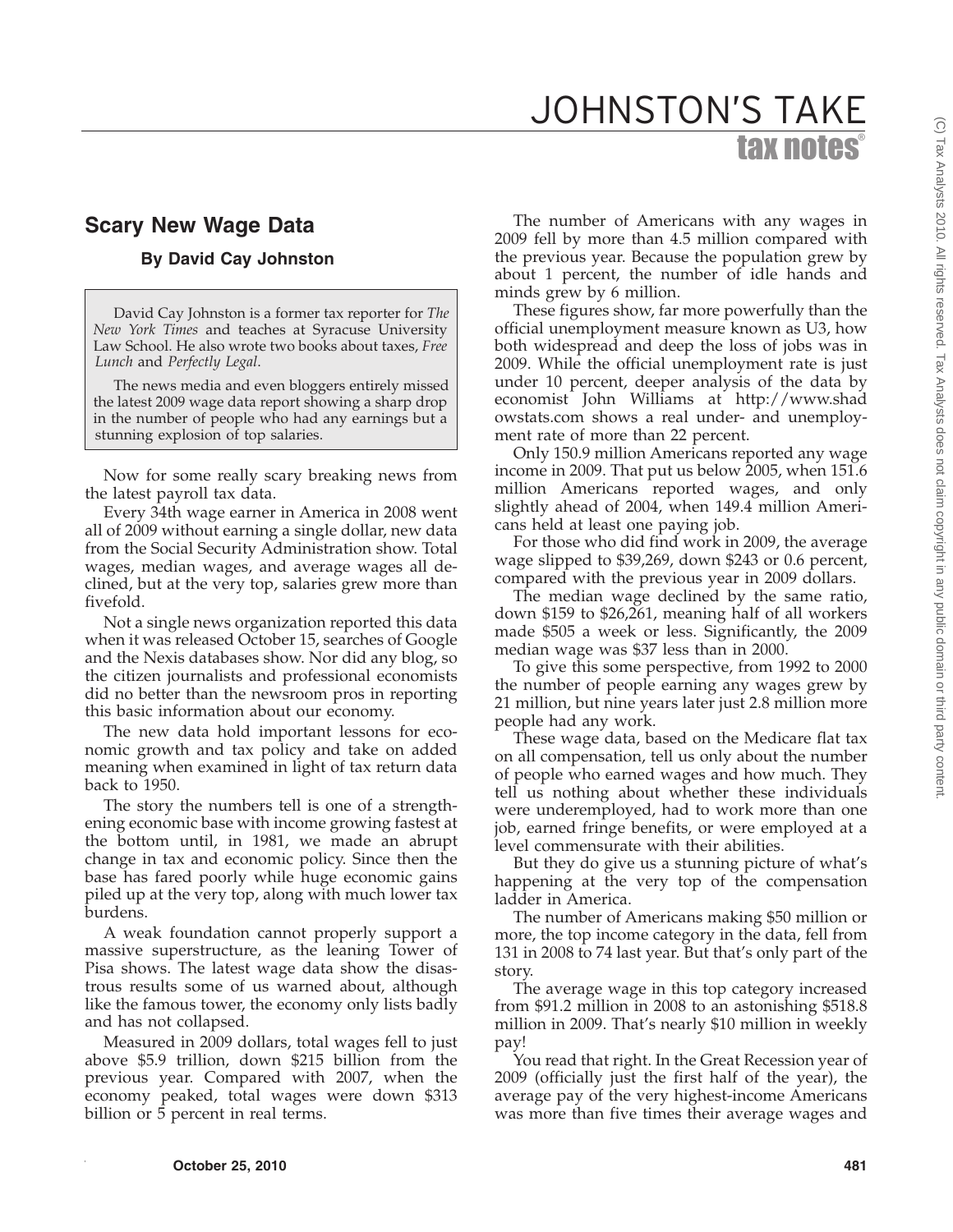## tax notes® JOHNSTON'S TAKE

## **Scary New Wage Data**

## **By David Cay Johnston**

David Cay Johnston is a former tax reporter for *The New York Times* and teaches at Syracuse University Law School. He also wrote two books about taxes, *Free Lunch* and *Perfectly Legal*.

The news media and even bloggers entirely missed the latest 2009 wage data report showing a sharp drop in the number of people who had any earnings but a stunning explosion of top salaries.

Now for some really scary breaking news from the latest payroll tax data.

Every 34th wage earner in America in 2008 went all of 2009 without earning a single dollar, new data from the Social Security Administration show. Total wages, median wages, and average wages all declined, but at the very top, salaries grew more than fivefold.

Not a single news organization reported this data when it was released October 15, searches of Google and the Nexis databases show. Nor did any blog, so the citizen journalists and professional economists did no better than the newsroom pros in reporting this basic information about our economy.

The new data hold important lessons for economic growth and tax policy and take on added meaning when examined in light of tax return data back to 1950.

The story the numbers tell is one of a strengthening economic base with income growing fastest at the bottom until, in 1981, we made an abrupt change in tax and economic policy. Since then the base has fared poorly while huge economic gains piled up at the very top, along with much lower tax burdens.

A weak foundation cannot properly support a massive superstructure, as the leaning Tower of Pisa shows. The latest wage data show the disastrous results some of us warned about, although like the famous tower, the economy only lists badly and has not collapsed.

Measured in 2009 dollars, total wages fell to just above \$5.9 trillion, down \$215 billion from the previous year. Compared with 2007, when the economy peaked, total wages were down \$313 billion or 5 percent in real terms.

The number of Americans with any wages in 2009 fell by more than 4.5 million compared with the previous year. Because the population grew by about 1 percent, the number of idle hands and minds grew by 6 million.

These figures show, far more powerfully than the official unemployment measure known as U3, how both widespread and deep the loss of jobs was in 2009. While the official unemployment rate is just under 10 percent, deeper analysis of the data by economist John Williams at http://www.shad owstats.com shows a real under- and unemployment rate of more than 22 percent.

Only 150.9 million Americans reported any wage income in 2009. That put us below 2005, when 151.6 million Americans reported wages, and only slightly ahead of 2004, when 149.4 million Americans held at least one paying job.

For those who did find work in 2009, the average wage slipped to \$39,269, down \$243 or 0.6 percent, compared with the previous year in 2009 dollars.

The median wage declined by the same ratio, down \$159 to \$26,261, meaning half of all workers made \$505 a week or less. Significantly, the 2009 median wage was \$37 less than in 2000.

To give this some perspective, from 1992 to 2000 the number of people earning any wages grew by 21 million, but nine years later just 2.8 million more people had any work.

These wage data, based on the Medicare flat tax on all compensation, tell us only about the number of people who earned wages and how much. They tell us nothing about whether these individuals were underemployed, had to work more than one job, earned fringe benefits, or were employed at a level commensurate with their abilities.

But they do give us a stunning picture of what's happening at the very top of the compensation ladder in America.

The number of Americans making \$50 million or more, the top income category in the data, fell from 131 in 2008 to 74 last year. But that's only part of the story.

The average wage in this top category increased from \$91.2 million in 2008 to an astonishing \$518.8 million in 2009. That's nearly \$10 million in weekly pay!

You read that right. In the Great Recession year of 2009 (officially just the first half of the year), the average pay of the very highest-income Americans was more than five times their average wages and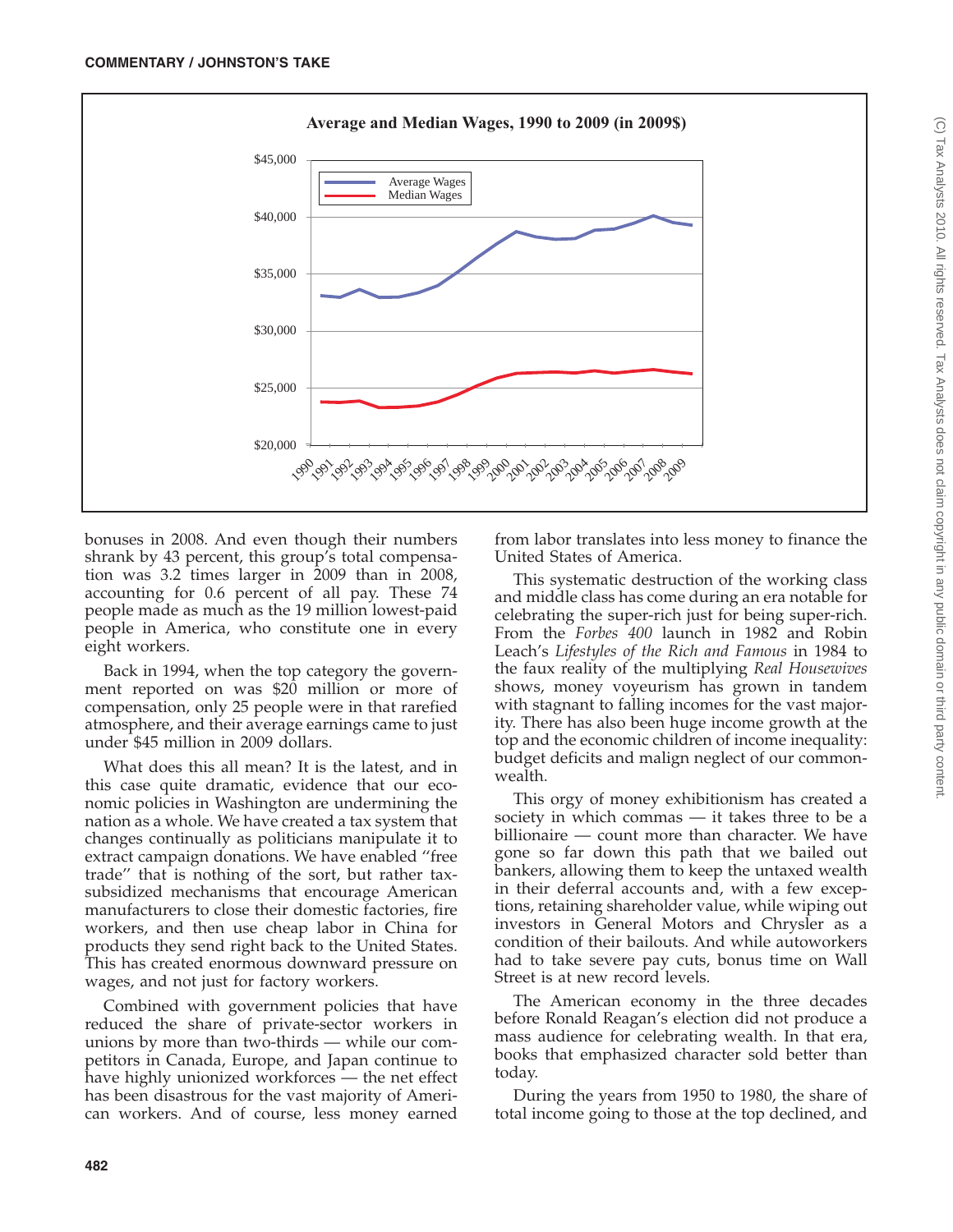

bonuses in 2008. And even though their numbers shrank by 43 percent, this group's total compensation was 3.2 times larger in 2009 than in 2008, accounting for 0.6 percent of all pay. These 74 people made as much as the 19 million lowest-paid people in America, who constitute one in every eight workers.

Back in 1994, when the top category the government reported on was \$20 million or more of compensation, only 25 people were in that rarefied atmosphere, and their average earnings came to just under \$45 million in 2009 dollars.

What does this all mean? It is the latest, and in this case quite dramatic, evidence that our economic policies in Washington are undermining the nation as a whole. We have created a tax system that changes continually as politicians manipulate it to extract campaign donations. We have enabled ''free trade'' that is nothing of the sort, but rather taxsubsidized mechanisms that encourage American manufacturers to close their domestic factories, fire workers, and then use cheap labor in China for products they send right back to the United States. This has created enormous downward pressure on wages, and not just for factory workers.

Combined with government policies that have reduced the share of private-sector workers in unions by more than two-thirds — while our competitors in Canada, Europe, and Japan continue to have highly unionized workforces — the net effect has been disastrous for the vast majority of American workers. And of course, less money earned

from labor translates into less money to finance the United States of America.

This systematic destruction of the working class and middle class has come during an era notable for celebrating the super-rich just for being super-rich. From the *Forbes 400* launch in 1982 and Robin Leach's *Lifestyles of the Rich and Famous* in 1984 to the faux reality of the multiplying *Real Housewives* shows, money voyeurism has grown in tandem with stagnant to falling incomes for the vast majority. There has also been huge income growth at the top and the economic children of income inequality: budget deficits and malign neglect of our commonwealth.

This orgy of money exhibitionism has created a society in which commas — it takes three to be a billionaire — count more than character. We have gone so far down this path that we bailed out bankers, allowing them to keep the untaxed wealth in their deferral accounts and, with a few exceptions, retaining shareholder value, while wiping out investors in General Motors and Chrysler as a condition of their bailouts. And while autoworkers had to take severe pay cuts, bonus time on Wall Street is at new record levels.

The American economy in the three decades before Ronald Reagan's election did not produce a mass audience for celebrating wealth. In that era, books that emphasized character sold better than today.

During the years from 1950 to 1980, the share of total income going to those at the top declined, and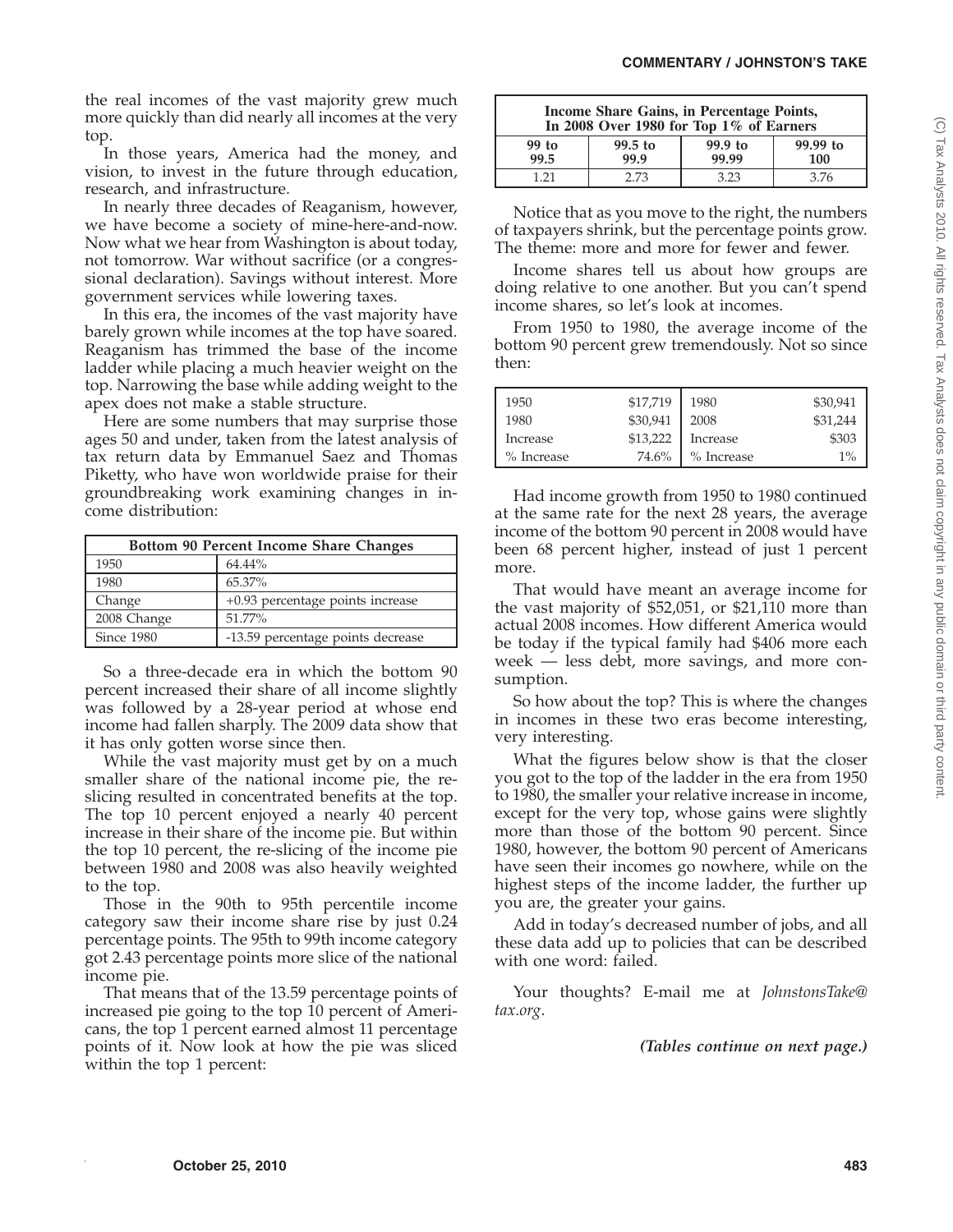the real incomes of the vast majority grew much more quickly than did nearly all incomes at the very top.

In those years, America had the money, and vision, to invest in the future through education, research, and infrastructure.

In nearly three decades of Reaganism, however, we have become a society of mine-here-and-now. Now what we hear from Washington is about today, not tomorrow. War without sacrifice (or a congressional declaration). Savings without interest. More government services while lowering taxes.

In this era, the incomes of the vast majority have barely grown while incomes at the top have soared. Reaganism has trimmed the base of the income ladder while placing a much heavier weight on the top. Narrowing the base while adding weight to the apex does not make a stable structure.

Here are some numbers that may surprise those ages 50 and under, taken from the latest analysis of tax return data by Emmanuel Saez and Thomas Piketty, who have won worldwide praise for their groundbreaking work examining changes in income distribution:

| Bottom 90 Percent Income Share Changes |                                   |  |
|----------------------------------------|-----------------------------------|--|
| 1950                                   | 64.44%                            |  |
| 1980                                   | 65.37%                            |  |
| Change                                 | +0.93 percentage points increase  |  |
| 2008 Change                            | 51.77%                            |  |
| Since 1980                             | -13.59 percentage points decrease |  |

So a three-decade era in which the bottom 90 percent increased their share of all income slightly was followed by a 28-year period at whose end income had fallen sharply. The 2009 data show that it has only gotten worse since then.

While the vast majority must get by on a much smaller share of the national income pie, the reslicing resulted in concentrated benefits at the top. The top 10 percent enjoyed a nearly 40 percent increase in their share of the income pie. But within the top 10 percent, the re-slicing of the income pie between 1980 and 2008 was also heavily weighted to the top.

Those in the 90th to 95th percentile income category saw their income share rise by just 0.24 percentage points. The 95th to 99th income category got 2.43 percentage points more slice of the national income pie.

That means that of the 13.59 percentage points of increased pie going to the top 10 percent of Americans, the top 1 percent earned almost 11 percentage points of it. Now look at how the pie was sliced within the top 1 percent:

| Income Share Gains, in Percentage Points,<br>In 2008 Over 1980 for Top 1% of Earners |                   |                             |                 |
|--------------------------------------------------------------------------------------|-------------------|-----------------------------|-----------------|
| 99 to<br>99.5                                                                        | $99.5$ to<br>99.9 | 99.9 <sub>to</sub><br>99.99 | 99.99 to<br>100 |
| 1 21                                                                                 | 2.73              | 3.23                        | 3.76            |

Notice that as you move to the right, the numbers of taxpayers shrink, but the percentage points grow. The theme: more and more for fewer and fewer.

Income shares tell us about how groups are doing relative to one another. But you can't spend income shares, so let's look at incomes.

From 1950 to 1980, the average income of the bottom 90 percent grew tremendously. Not so since then:

| 1950         | \$17,719 | 1980         | \$30,941 |
|--------------|----------|--------------|----------|
| 1980         | \$30,941 | 2008         | \$31,244 |
| Increase     | \$13,222 | Increase     | \$303    |
| $%$ Increase | 74.6%    | $%$ Increase | $1\%$    |

Had income growth from 1950 to 1980 continued at the same rate for the next 28 years, the average income of the bottom 90 percent in 2008 would have been 68 percent higher, instead of just 1 percent more.

That would have meant an average income for the vast majority of \$52,051, or \$21,110 more than actual 2008 incomes. How different America would be today if the typical family had \$406 more each week — less debt, more savings, and more consumption.

So how about the top? This is where the changes in incomes in these two eras become interesting, very interesting.

What the figures below show is that the closer you got to the top of the ladder in the era from 1950 to 1980, the smaller your relative increase in income, except for the very top, whose gains were slightly more than those of the bottom 90 percent. Since 1980, however, the bottom 90 percent of Americans have seen their incomes go nowhere, while on the highest steps of the income ladder, the further up you are, the greater your gains.

Add in today's decreased number of jobs, and all these data add up to policies that can be described with one word: failed.

Your thoughts? E-mail me at *JohnstonsTake@ tax.org*.

*(Tables continue on next page.)*